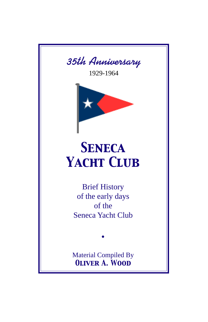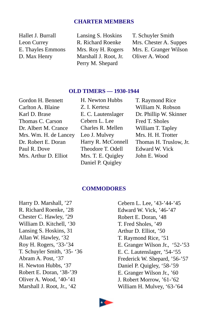## **CHARTER MEMBERS**

Hallet J. Burrall Lansing S. Hoskins T. Schuyler Smith D. Max Henry Marshall J. Root, Jr. Oliver A. Wood Perry M. Shepard

Leon Currey R. Richard Roenke Mrs. Chester A. Suppes E. Thayles Emmons Mrs. Roy H. Rogers Mrs. E. Granger Wilson

## **OLD TIMERS — 1930-1944**

Gordon H. Bennett Carlton A. Blaine Karl D. Brase Thomas C. Carson Dr. Albert M. Crance Mrs. Wm. H. de Lancey Dr. Robert E. Doran Paul R. Dove Mrs. Arthur D. Elliot

H. Newton Hubbs Z. I. Kertesz E. C. Lautenslager Cebern L. Lee Charles R. Mellen Leo J. Mulvey Harry R. McConnell Theodore T. Odell Mrs. T. E. Quigley Daniel P. Quigley

T. Raymond Rice William N. Robson Dr. Phillip W. Skinner Fred T. Sholes William T. Tapley Mrs. H. H. Trotter Thomas H. Truslow, Jr. Edward W. Vick John E. Wood

## **COMMODORES**

Harry D. Marshall, '27 R. Richard Roenke, '28 Chester C. Hawley, '29 William D. Kitchell, '30 Lansing S. Hoskins, 31 Allan W. Hawley, '32 Roy H. Rogers, '33-'34 T. Schuyler Smith, '35- '36 Abram A. Post, '37 H. Newton Hubbs, '37 Robert E. Doran, '38-'39 Oliver A. Wood, '40-'41 Marshall J. Root, Jr., '42

Cebern L. Lee, '43-'44-'45 Edward W. Vick, '46-'47 Robert E. Doran, '48 T. Fred Sholes, '49 Arthur D. Elliot, '50 T. Raymond Rice, '51 E. Granger Wilson Jr., '52-'53 E. C. Lautenslager, '54-'55 Frederick W. Shepard, '56-'57 Daniel P. Quigley, '58-'59 E. Granger Wilson Jr., '60 J. Robert Morrow, '61-'62 William H. Mulvey, '63-'64

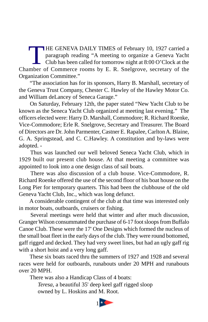THE GENEVA DAILY TIMES of February 10, 1927 carried a<br>paragraph reading "A meeting to organize a Geneva Yacht<br>Club has been called for tomorrow night at 8:00 O'Clock at the<br>mber of Commerce rooms by E.R. Spelgrove, secreta paragraph reading "A meeting to organize a Geneva Yacht Club has been called for tomorrow night at 8:00 O'Clock at the Chamber of Commerce rooms by E. R. Snelgrove, secretary of the Organization Committee."

 "The association has for its sponsors, Harry B. Marshall, secretary of the Geneva Trust Company, Chester C. Hawley of the Hawley Motor Co. and William deLancey of Seneca Garage."

 On Saturday, February 12th, the paper stated "New Yacht Club to be known as the Seneca Yacht Club organized at meeting last evening." The officers elected were: Harry D. Marshall, Commodore; R. Richard Roenke, Vice-Commodore; Erle R. Snelgrove, Secretary and Treasurer. The Board of Directors are Dr. John Parmenter, Castner E. Rapalee, Carlton A. Blaine, G. A. Springstead, and C. C.Hawley. A constitution and by-laws were adopted. -

 Thus was launched our well beloved Seneca Yacht Club, which in 1929 built our present club house. At that meeting a committee was appointed to look into a one design class of sail boats.

 There was also discussion of a club house. Vice-Commodore, R. Richard Roenke offered the use of the second floor of his boat house on the Long Pier for temporary quarters. This had been the clubhouse of the old Geneva Yacht Club, Inc., which was long defunct.

 A considerable contingent of the club at that time was interested only in motor boats, outboards, cruisers or fishing.

 Several meetings were held that winter and after much discussion, Granger Wilson consummated the purchase of 6-17 foot sloops from Buffalo Canoe Club. These were the 17' One Designs which formed the nucleus of the small boat fleet in the early days of the club. They were round bottomed, gaff rigged and decked. They had very sweet lines, but had an ugly gaff rig with a short hoist and a very long gaff.

 These six boats raced thru the summers of 1927 and 1928 and several races were held for outboards, runabouts under 20 MPH and runabouts over 20 MPH.

There was also a Handicap Class of 4 boats:

*Teresa,* a beautiful 35' deep keel gaff rigged sloop owned by L. Hoskins and M. Root.

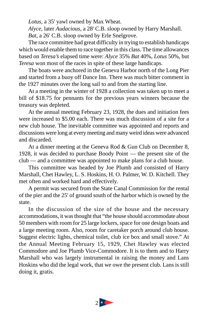*Lotus,* a 35' yawl owned by Max Wheat.

*Alyce,* later *Audacious,* a 28' C.B. sloop owned by Harry Marshall. *Bat,* a 26' C.B. sloop owned by Erle Snelgrove.

The race committee had great difficulty in trying to establish handicaps which would enable them to race together in this class. The time allowances based on *Teresa's* elapsed time were: *Alyce* 35% *Bat* 40%, *Lotus* 50%, but *Teresa* won most of the races in spite of these large handicaps.

The boats were anchored in the Geneva Harbor north of the Long Pier and started from a buoy off Dance Inn. There was much bitter comment in the 1927 minutes over the long sail to and from the starting line.

At a meeting in the winter of 1928 a collection was taken up to meet a bill of \$18.75 for pennants for the previous years winners because the treasury was depleted.

At the annual meeting February 23, 1928, the dues and initiation fees were increased to \$5.00 each. There was much discussion of a site for a new club house. The inevitable committee was appointed and reports and discussions were long at every meeting and many weird ideas were advanced and discarded.

At a dinner meeting at the Geneva Rod & Gun Club on December 8, 1928, it was decided to purchase Boody Point — the present site of the club — and a committee was appointed to make plans for a club house.

This committee was headed by Joe Plumb and consisted of Harry Marshall, Chet Hawley, L. S. Hoskins, H. O. Palmer, W. D. Kitchell. They met often and worked hard and effectively.

A permit was secured from the State Canal Commission for the rental of the pier and the 25' of ground south of the harbor which is owned by the state.

In the discussion of the size of the house and the necessary accommodations, it was thought that "the house should accommodate about 50 members with room for 25 large lockers, space for one design boats and a large meeting room. Also, room for caretaker porch around club house. Suggest electric lights, chemical toilet, club ice box and small stove." At the Annual Meeting February 15, 1929, Chet Hawley was elected Commodore and Joe Plumb Vice-Commodore. It is to them and to Harry Marshall who was largely instrumental in raising the money and Lans Hoskins who did the legal work, that we owe the present club. Lans is still doing it, gratis.

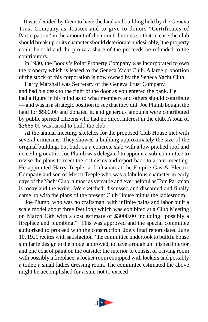It was decided by them to have the land and building held by the Geneva Trust Company as Trustee and to give to donors "Certificates of Participation" in the amount of their contributions so that in case the club should break up or its character should deteriorate undesirably,' the property could be sold and the pro-rata share of the proceeds be refunded to the contributors.

 In 1930, the Boody's Point Property Company was incorporated to own the property which is leased to the Seneca Yacht Club. A large proportion of the stock of this corporation is now owned by the Seneca Yacht Club.

 Harry Marshall was Secretary of the Geneva Trust Company and had his desk to the right of the door as you entered the bank. He had a figure in his mind as to what members and others should contribute — and was in a strategic position to see that they did. Joe Plumb bought the land for \$500.00 and donated it, and generous amounts were contributed by public spirited citizens who had no direct interest in the club. A total of \$3665.00 was raised to build the club.

 At the annual meeting, sketches for the proposed Club House met with several criticisms. They showed a building approximately the size of the original building, but built on a concrete slab with a low pitched roof and no ceiling or attic. Joe Plumb was delegated to appoint a sub-committee to revise the plans to meet the criticisms and report back to a later meeting. He appointed Harry Teeple, a draftsman at the Empire Gas & Electric Company and son of Merrit Teeple who was a fabulous character in early days of the Yacht Club, almost as versatile and ever helpful as Tom Parkman is today and the writer. We sketched, discussed and discarded and finally came up with the plans of the present Club House minus the ladiesroom.

 Joe Plumb, who was no craftsman, with infinite pains and labor built a scale model about three feet long which was exhibited at a Club Meeting on March 13th with a cost estimate of \$3000.00 including "possibly a fireplace and plumbing." This was approved and the special committee authorized to proceed with the construction. Joe's final report dated June 10, 1929 recites with satisfaction "the committee undertook to build a house similar in design to the model approved, to have a rough unfinished interior and one coat of paint on the outside; the interior to consist of a living room with possibly a fireplace, a locker room equipped with lockers and possibly a toilet; a small ladies dressing room. The committee estimated the above might be accomplished for a sum not to exceed

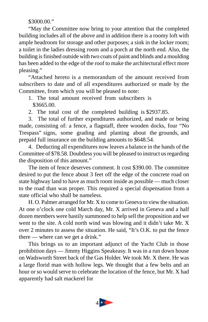\$3000.00."

"May the Committee now bring to your attention that the completed building includes all of the above and in addition there is a roomy loft with ample headroom for storage and other purposes; a sink in the locker room; a toilet in the ladies dressing room and a porch at the north end. Also, the building is finished outside with two coats of paint and blinds and a moulding has been added to the edge of the roof to make the architectural effect more pleasing."

"Attached hereto is a memorandum of the amount received from subscribers to date and of all expenditures authorized or made by the Committee, from which you will be pleased to note:

- 1. The total amount received from subscribers is \$3665.00.
- 2. The total cost of the completed building is \$2937.85.

3. The total of further expenditures authorized, and made or being made, consisting of: a fence, a flagstaff, three wooden docks, four "No Trespass" signs, some grading and planting about the grounds, and prepaid full insurance on the building amounts to \$648.54.

4. Deducting all expenditures now leaves a balance in the hands of the Committee of \$78.58. Doubtless you will be pleased to instruct us regarding the disposition of this amount."

The item of fence deserves comment. It cost \$390.00. The committee desired to put the fence about 3 feet off the edge of the concrete road on state highway land to have as much room inside as possible — much closer to the road than was proper. This required a special dispensation from a state official who shall be nameless.

H. O. Palmer arranged for Mr. X to come to Geneva to view the situation. At one o'clock one cold March day, Mr. X arrived in Geneva and a half dozen members were hastily summoned to help sell the proposition and we went to the site. A cold north wind was blowing and it didn't take Mr. X over 2 minutes to assess the situation. He said, "It's O.K. to put the fence there — where can we get a drink."

This brings us to an important adjunct of the Yacht Club in those prohibition days — Jimmy Higgins Speakeasy. It was in a run down house on Wadsworth Street back of the Gas Holder. We took Mr. X there. He was a large florid man with hollow legs. We thought that a few belts and an hour or so would serve to celebrate the location of the fence, but Mr. X had apparently had salt mackerel for

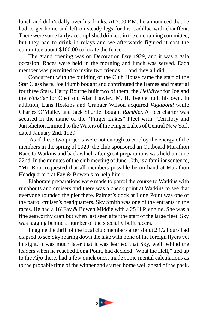lunch and didn't dally over his drinks. At 7:00 P.M. he announced that he had to get home and left on steady legs for his Cadillac with chauffeur. There were some fairly accomplished drinkers in the entertaining committee, but they had to drink in relays and we afterwards figured it cost the committee about \$100.00 to locate the fence.

The grand opening was on Decoration Day 1929, and it was a gala occasion. Races were held in the morning and lunch was served. Each member was permitted to invite two friends — and they all did.

Concurrent with the building of the Club House came the start of the Star Class here. Joe Plumb bought and contributed the frames and material for three Stars. Harry Bourne built two of them, the *Helldiver* for Joe and the *Whistler* for Chet and Alan Hawley. M. H. Teeple built his own. In addition, Lans Hoskins and Granger Wilson acquired *Vagabond* while Charles O'Malley and Jack Shurtlef bought *Rambler.* A fleet charter was secured in the name of the "Finger Lakes" Fleet with "Territory and Jurisdiction Limited to the Waters of the Finger Lakes of Central New York dated January 2nd, 1929.

 As if these two projects were not enough to employ the energy of the members in the spring of 1929, the club sponsored an Outboard Marathon Race to Watkins and back which after great preparations was held on June 22nd. In the minutes of the club meeting of June 10th, is a familiar sentence, "Mr. Root requested that all members possible be on hand at Marathon Headquarters at Fay & Bowen's to help him."

Elaborate preparations were made to patrol the course to Watkins with runabouts and cruisers and there was a check point at Watkins to see that everyone rounded the pier there. Palmer's dock at Long Point was one of the patrol cruiser's headquarters. Sky Smith was one of the entrants in the races. He had a 16' Fay & Bowen Middie with a 25 H.P. engine. She was a fine seaworthy craft but when last seen after the start of the large fleet, Sky was lagging behind a number of the specially built racers.

Imagine the thrill of the local club members after about 2 1/2 hours had elapsed to see Sky roaring down the lake with none of the foreign flyers yet in sight. It was much later that it was learned that Sky, well behind the leaders when he reached Long Point, had decided "What the Hell," tied up to the *Aljo* there, had a few quick ones, made some mental calculations as to the probable time of the winner and started home well ahead of the pack.

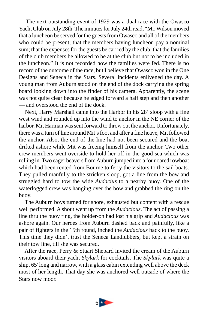The next outstanding event of 1929 was a dual race with the Owasco Yacht Club on July 28th. The minutes for July 24th read, "Mr. Wilson moved that a luncheon be served for the guests from Owasco and all of the members who could be present; that the members having luncheon pay a nominal sum; that the expenses for the guests be carried by the club; that the families of the club members be allowed to be at the club but not to be included in the luncheon." It is not recorded how the families were fed. There is no record of the outcome of the race, but I believe that Owasco won in the One Designs and Seneca in the Stars. Several incidents enlivened the day. A young man from Auburn stood on the end of the dock carrying the spring board looking down into the finder of his camera. Apparently, the scene was not quite clear because he edged forward a half step and then another — and overstood the end of the dock.

 Next, Harry Marshall came into the Harbor in his 28' sloop with a fine west wind and rounded up into the wind to anchor in the NE corner of the harbor. Mit Harman was sent forward to throw out the anchor. Unfortunately, there was a turn of line around Mit's foot and after a fine heave, Mit followed the anchor. Also, the end of the line had not been secured and the boat drifted ashore while Mit was freeing himself from the anchor. Two other crew members went overside to hold her off in the good sea which was rolling in. Two eager beavers from Auburn jumped into a four oared rowboat which had been rented from Bourne to ferry the visitors to the sail boats. They pulled manfully to the stricken sloop, got a line from the bow and struggled hard to tow the wide *Audacius* to a nearby buoy. One of the waterlogged crew was hanging over the bow and grabbed the ring on the buoy.

 The Auburn boys turned for shore, exhausted but content with a rescue well performed. A shout went up from the *Audacious*. The act of passing a line thru the buoy ring, the holder-on had lost his grip and *Audacious* was ashore again. Our heroes from Auburn dashed back and painfully, like a pair of fighters in the 15th round, inched the *Audacious* back to the buoy. This time they didn't trust the Seneca Landlubbers, but kept a strain on their tow line, till she was secured.

 After the race, Perry & Stuart Shepard invited the cream of the Auburn visitors aboard their yacht *Skylark* for cocktails. The *Skylark* was quite a ship, 65' long and narrow, with a glass cabin extending well above the deck most of her length. That day she was anchored well outside of where the Stars now moor.

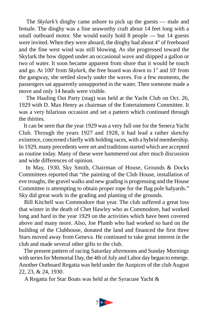The *Skylark's* dinghy came ashore to pick up the guests — male and female. The dinghy was a fine seaworthy craft about 14 feet long with a small outboard motor. She would easily hold 8 people — but 14 guests were invited. When they were aboard, the dinghy had about 4" of freeboard and the fine west wind was still blowing. As she progressed toward the Skylark the bow dipped under an occasional wave and shipped a gallon or two of water. It soon became apparent from shore that it would be touch and go. At 100' from *Skylark*, the free board was down to 1" and 10' from the gangway, she settled slowly under the waves. For a few moments, the passengers sat apparently unsupported in the water. Then someone made a move and only 14 heads were visible.

 The Hauling Out Party (stag) was held at the Yacht Club on Oct. 26, 1929 with D. Max Henry as chairman of the Entertainment Committee. It was a very hilarious occasion and set a pattern which continued through the thirties.

 It can be seen that the year 1929 was a very full one for the Seneca Yacht Club. Through the years 1927 and 1928, it had lead a rather sketchy existence, concerned chiefly with holding races, with a hybrid membership. In 1929, many precedents were set and traditions started which are accepted as routine today. Many of these were hammered out after much discussion and wide differences of opinion.

 In May, 1930, Sky Smith, Chairman of House, Grounds & Docks Committees reported that "the painting of the Club House, installation of eve troughs, the gravel walks and new grading is progressing and the House Committee is attempting to obtain proper rope for the flag pole halyards." Sky did great work in the grading and planting of the grounds.

 Bill Kitchell was Commodore that year. The club suffered a great loss that winter in the death of Chet Hawley who as Commodore, had worked long and hard in the year 1929 on the activities which have been covered above and many more. Also, Joe Plumb who had worked so hard on the building of the Clubhouse, donated the land and financed the first three Stars moved away from Geneva. He continued to take great interest in the club and made several other gifts to the club.

 The present pattern of racing Saturday afternoons and Sunday Mornings with series for Memorial Day, the 4th of July and Labor day began to emerge. Another Outboard Regatta was held under the Auspices of the club August 22, 23, & 24, 1930.

A Regatta for Star Boats was held at the Syracuse Yacht &

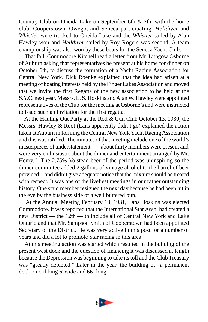Country Club on Oneida Lake on September 6th & 7th, with the home club, Cooperstown, Owego, and Seneca participating. *Helldiver* and *Whistler* were trucked to Oneida Lake and the *Whistler* sailed by Alan Hawley won and *Helldiver* sailed by Roy Rogers was second. A team championship was also won by these boats for the Seneca Yacht Club.

 That fall, Commodore Kitchell read a letter from Mr. Lithgow Osborne of Auburn asking that representatives be present at his home for dinner on October 6th, to discuss the formation of a Yacht Racing Association for Central New York. Dick Roenke explained that the idea had arisen at a meeting of boating interests held by the Finger Lakes Association and moved that we invite the first Regatta of the new association to be held at the S.Y.C. next year. Messrs. L. S. Hoskins and Alan W. Hawley were appointed representatives of the Club for the meeting at Osborne's and were instructed to issue such an invitation for the first regatta.

 At the Hauling Out Party at the Rod & Gun Club October 13, 1930, the Messrs. Hawley & Root (Lans apparently didn't go) explained the action taken at Auburn in forming the Central New York Yacht Racing Association and this was ratified. The minutes of that meeting include one of the world's masterpieces of understatement — "about thirty members were present and were very enthusiastic about the dinner and entertainment arranged by Mr. Henry." The 2.75% Volstead beer of the period was uninspiring so the dinner committee added 2 gallons of vintage alcohol to the barrel of beer provided—and didn't give adequate notice that the mixture should be treated with respect. It was one of the liveliest meetings in our rather outstanding history. One staid member resigned the next day because he had been hit in the eye by the business side of a well buttered bun.

 At the Annual Meeting February 13, 1931, Lans Hoskins was elected Commodore. It was reported that the International Star Assn. had created a new District — the 12th — to include all of Central New York and Lake Ontario and that Mr. Sampson Smith of Cooperstown had been appointed Secretary of the District. He was very active in this post for a number of years and did a lot to promote Star racing in this area.

 At this meeting action was started which resulted in the building of the present west dock and the question of financing it was discussed at length because the Depression was beginning to take its toll and the Club Treasury was "greatly depleted." Later in the year, the building of "a permanent dock on cribbing 6' wide and 66' long

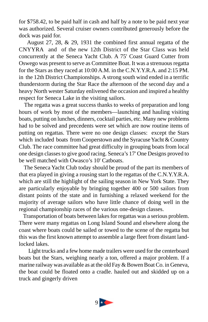for \$758.42, to be paid half in cash and half by a note to be paid next year was authorized. Several cruiser owners contributed generously before the dock was paid for.

 August 27, 28, & 29, 1931 the combined first annual regatta of the CNYYRA and of the new 12th District of the Star Class was held concurrently at the Seneca Yacht Club. A 75' Coast Guard Cutter from Oswego was present to serve as Committee Boat. It was a strenuous regatta for the Stars as they raced at 10:00 A.M. in the C.N.Y.Y.R.A. and 2:15 PM. in the 12th District Championships. A strong south wind ended in a terrific thunderstorm during the Star Race the afternoon of the second day and a heavy North wester Saturday enlivened the occasion and inspired a healthy respect for Seneca Lake in the visiting sailors.

 The regatta was a great success thanks to weeks of preparation and long hours of work by most of the members—launching and hauling visiting boats, putting on lunches, dinners, cocktail parties, etc. Many new problems had to be solved and precedents were set which are now routine items of putting on regattas. There were no one design classes: except the Stars which included boats from Cooperstown and the Syracuse Yacht & Country Club. The race committee had great difficulty in grouping boats from local one design classes to give good racing. Seneca's 17' One Designs proved to be well matched with Owasco's 10' Catboats.

 The Seneca Yacht Club today should be proud of the part its members of that era played in giving a rousing start lo the regattas of the C.N.Y.Y.R.A. which are still the highlight of the sailing season in New York State. They are particularly enjoyable by bringing together 400 or 500 sailors from distant points of the state and in furnishing a relaxed weekend for the majority of average sailors who have little chance of doing well in the regional championship races of the various one-design classes.

 Transportation of boats between lakes for regattas was a serious problem. There were many regattas on Long Island Sound and elsewhere along the coast where boats could be sailed or towed to the scene of the regatta but this was the first known attempt to assemble a large fleet from distant landlocked lakes.

Light trucks and a few home made trailers were used for the centerboard boats but the Stars, weighing nearly a ton, offered a major problem. If a marine railway was available as at the old Fay & Bowen Boat Co. in Geneva, the boat could be floated onto a cradle. hauled out and skidded up on a truck and gingerly driven

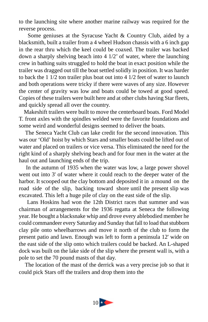to the launching site where another marine railway was required for the reverse process.

 Some geniuses at the Syracuse Yacht & Country Club, aided by a blacksmith, built a trailer from a 4 wheel Hudson chassis with a 6 inch gap in the rear thru which the keel could be coaxed. The trailer was backed down a sharply shelving beach into 4 1/2' of water, where the launching crew in bathing suits struggled to hold the boat in exact position while the trailer was dragged out till the boat settled solidly in position. It was harder to back the 1 1/2 ton trailer plus boat out into 4 1/2 feet of water to launch and both operations were tricky if there were waves of any size. However the center of gravity was low and boats could be towed at good speed. Copies of these trailers were built here and at other clubs having Star fleets, and quickly spread all over the country.

 Makeshift trailers were built to move the centerboard boats. Ford Model T. front axles with the spindles welded were the favorite foundations and some weird and wonderful designs seemed to deliver the boats.

 The Seneca Yacht Club can lake credit for the second innovation. This was our 'Old' hoist by which Stars and smaller boats could be lifted out of water and placed on trailers or vice versa. This eliminated the need for the right kind of a sharply shelving beach and for four men in the water at the haul out and launching ends of the trip.

 In the autumn of 1935 when the water was low, a large power shovel went out into 3' of water where it could reach to the deeper water of the harbor. It scooped out the clay bottom and deposited it in a mound on the road side of the slip, backing toward shore until the present slip was excavated. This left a huge pile of clay on the east side of the slip.

 Lans Hoskins had won the 12th District races that summer and was chairman of arrangements for the 1936 regatta at Seneca the following year. He bought a blacksnake whip and drove every ablebodied member he could commandeer every Saturday and Sunday that fall to load that stubborn clay pile onto wheelbarrows and move it north of the club to form the present patio and lawn. Enough was left to form a peninsula 12' wide on the east side of the slip onto which trailers could be backed. An L-shaped dock was built on the lake side of the slip where the present wall is, with a pole to set the 70 pound masts of that day.

 The location of the mast of the derrick was a very precise job so that it could pick Stars off the trailers and drop them into the

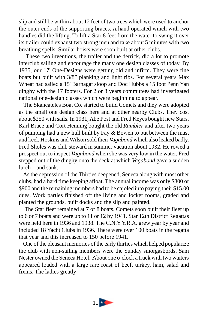slip and still be within about 12 feet of two trees which were used to anchor the outer ends of the supporting braces. A hand operated winch with two handles did the lifting. To lift a Star 8 feet from the water to swing it over its trailer could exhaust two strong men and take about 5 minutes with two breathing spells. Similar hoists were soon built at other clubs.

 These two inventions, the trailer and the derrick, did a lot to promote interclub sailing and encourage the many one design classes of today. By 1935, our 17' One-Designs were getting old and infirm. They were fine boats but built with 3/8" planking and light ribs. For several years Max Wheat had sailed a 15' Barnagat sloop and Doc Hubbs a 15 foot Penn Yan dinghy with the 17 footers. For 2 or 3 years committees had investigated national one-design classes which were beginning to appear.

 The Skaneateles Boat Co. started to build Comets and they were adopted as the small one design class here and at other nearby Clubs. They cost about \$250 with sails. In 1931, Abe Post and Fred Keyes bought new Stars. Karl Brace and Cort Henning bought the old *Rambler* and after two years of pumping had a new hull built by Fay & Bowen to put between the mast and keel. Hoskins and Wilson sold their *Vagabond* which also leaked badly. Fred Sholes was club steward in summer vacation about 1932. He rowed a prospect out to inspect *Vagabond* when she was very low in the water. Fred stepped out of the dinghy onto the deck at which *Vagabond* gave a sudden lurch—and sank.

 As the depression of the Thirties deepened, Seneca along with most other clubs, had a hard time keeping afloat. The annual income was only \$800 or \$900 and the remaining members had to be cajoled into paying their \$15.00 dues. Work parties finished off the living and locker rooms, graded and planted the grounds, built docks and the slip and painted.

 The Star fleet remained at 7 or 8 boats. Comets soon built their fleet up to 6 or 7 boats and were up to 11 or 12 by 1941. Star 12th District Regattas were held here in 1936 and 1938. The C.N.Y.Y.R.A. grew year by year and included 18 Yacht Clubs in 1936. There were over 100 boats in the regatta that year and this increased to 150 before 1941.

 One of the pleasant memories of the early thirties which helped popularize the club with non-sailing members were the Sunday smorgasbords. Sam Nester owned the Seneca Hotel. About one o'clock a truck with two waiters appeared loaded with a large rare roast of beef, turkey, ham, salad and fixins. The ladies greatly

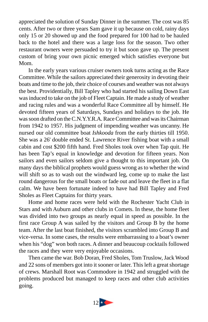appreciated the solution of Sunday Dinner in the summer. The cost was 85 cents. After two or three years Sam gave it up because on cold, rainy days only 15 or 20 showed up and the food prepared for 100 had to be hauled back to the hotel and there was a large loss for the season. Two other restaurant owners were persuaded to try it but soon gave up. The present custom of bring your own picnic emerged which satisfies everyone but Mom.

In the early years various cruiser owners took turns acting as the Race Committee. While the sailors appreciated their generosity in devoting their boats and time to the job, their choice of courses and weather was not always the best. Providentially, Bill Tapley who had started his sailing Down East was induced to take on the job of Fleet Captain. He made a study of weather and racing rules and was a wonderful Race Committee all by himself. He devoted fifteen years of Saturdays, Sundays and holidays to the job. He was soon drafted on the C.N.Y.Y.R.A. Race Committee and was its Chairman from 1942 to 1957. His judgment of impending weather was uncanny. He nursed our old committee boat *Ishkooda* from the early thirties till 1950. She was a 26' double ended St. Lawrence River fishing boat with a small cabin and cost \$200 fifth hand. Fred Sholes took over when Tap quit. He has been Tap's equal in knowledge and devotion for fifteen years. Non sailors and even sailors seldom give a thought to this important job. On many days the biblical prophets would guess wrong as to whether the wind will shift so as to wash out the windward leg, come up to make the last round dangerous for the small boats or fade out and leave the fleet in a flat calm. We have been fortunate indeed to have had Bill Tapley and Fred Sholes as Fleet Captains for thirty years.

Home and home races were held with the Rochester Yacht Club in Stars and with Auburn and other clubs in Comets. In these, the home fleet was divided into two groups as nearly equal in speed as possible. In the first race Group A was sailed by the visitors and Group B by the home team. After the last boat finished, the visitors scrambled into Group B and vice-versa. In some cases, the results were embarrassing to a boat's owner when his "dog" won both races. A dinner and beaucoup cocktails followed the races and they were very enjoyable occasions.

Then came the war. Bob Doran, Fred Sholes, Tom Truslow, Jack Wood and 22 sons of members got into it sooner or later. This left a great shortage of crews. Marshall Root was Commodore in 1942 and struggled with the problems produced but managed to keep races and other club activities going.

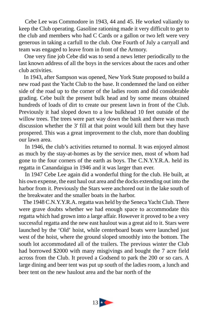Cebe Lee was Commodore in 1943, 44 and 45. He worked valiantly to keep the Club operating. Gasoline rationing made it very difficult to get to the club and members who had C Cards or a gallon or two left were very generous in taking a carfull to the club. One Fourth of July a carryall and team was engaged to leave from in front of the Armory.

 One very fine job Cebe did was to send a news letter periodically to the last known address of all the boys in the services about the races and other club activities.

 In 1943, after Sampson was opened, New York State proposed to build a new road past the Yacht Club to the base. It condemned the land on either side of the road up to the corner of the ladies room and did considerable grading. Cebe built the present bulk head and by some means obtained hundreds of loads of dirt to create our present lawn in front of the Club. Previously it had sloped down to a low bulkhead 10 feet outside of the willow trees. The trees were part way down the bank and there was much discussion whether the 3' fill at that point would kill them but they have prospered. This was a great improvement to the club, more than doubling our lawn area.

 In 1946, the club's activities returned to normal. It was enjoyed almost as much by the stay-at-homes as by the service men, most of whom had gone to the four corners of the earth as boys. The C.N.Y.Y.R.A. held its regatta in Canandaigua in 1946 and it was larger than ever.

 In 1947 Cebe Lee again did a wonderful thing for the club. He built, at his own expense, the east haul out area and the docks extending out into the harbor from it. Previously the Stars were anchored out in the lake south of the breakwater and the smaller boats in the harbor.

 The 1948 C.N.Y.Y.R.A. regatta was held by the Seneca Yacht Club. There were grave doubts whether we had enough space to accommodate this regatta which had grown into a large affair. However it proved to be a very successful regatta and the new east haulout was a great aid to it. Stars were launched by the 'Old' hoist, while centerboard boats were launched just west of the hoist, where the ground sloped smoothly into the bottom. The south lot accommodated all of the trailers. The previous winter the Club had borrowed \$2000 with many misgivings and bought the 7 acre field across from the Club. It proved a Godsend to park the 200 or so cars. A large dining and beer tent was put up south of the ladies room, a lunch and beer tent on the new haulout area and the bar north of the

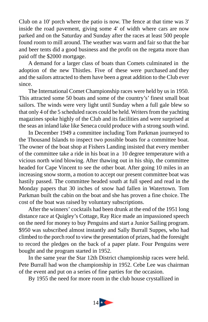Club on a 10' porch where the patio is now. The fence at that time was 3' inside the road pavement, giving some 4' of width where cars are now parked and on the Saturday and Sunday after the races at least 500 people found room to mill around. The weather was warm and fair so that the bar and beer tents did a good business and the profit on the regatta more than paid off the \$2000 mortgage.

A demand for a larger class of boats than Comets culminated in the adoption of the new Thistles. Five of these were purchased and they and the sailors attracted to them have been a great addition to the Club ever since.

The International Comet Championship races were held by us in 1950. This attracted some 50 boats and some of the country's' finest small boat sailors. The winds were very light until Sunday when a full gale blew so that only 4 of the 5 scheduled races could be held. Writers from the yachting magazines spoke highly of the Club and its facilities and were surprised at the seas an inland lake like Seneca could produce with a strong south wind.

In December 1949 a committee including Tom Parkman journeyed to the Thousand Islands to inspect two possible boats for a committee boat. The owner of the boat shop at Fishers Landing insisted that every member of the committee take a ride in his boat in a 10 degree temperature with a vicious north wind blowing. After thawing out in his ship, the committee headed for Cape Vincent to see the other boat. After going 10 miles in an increasing snow storm, a motion to accept our present committee boat was hastily passed. The committee headed south at full speed and read in the Monday papers that 30 inches of snow had fallen in Watertown. Tom Parkman built the cabin on the boat and she has proven a fine choice. The cost of the boat was raised by voluntary subscriptions.

After the winners' cocktails had been drunk at the end of the 1951 long distance race at Quigley's Cottage, Ray Rice made an impassioned speech on the need for money to buy Penguins and start a Junior Sailing program. \$950 was subscribed almost instantly and Sally Burrall Suppes, who had climbed to the porch roof to view the presentation of prizes, had the foresight to record the pledges on the back of a paper plate. Four Penguins were bought and the program started in 1952.

In the same year the Star 12th District championship races were held. Pete Burrall had won the championship in 1952. Cebe Lee was chairman of the event and put on a series of fine parties for the occasion.

By 1955 the need for more room in the club house crystallized in

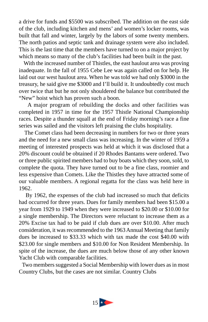a drive for funds and \$5500 was subscribed. The addition on the east side of the club, including kitchen and mens' and women's locker rooms, was built that fall and winter, largely by the labors of some twenty members. The north patios and septic tank and drainage system were also included. This is the last time that the members have turned to on a major project by which means so many of the club's facilities had been built in the past.

 With the increased number of Thistles, the east haulout area was proving inadequate. In the fall of 1955 Cebe Lee was again called on for help. He laid out our west haulout area. When he was told we had only \$3000 in the treasury, he said give me \$3000 and I'll build it. It undoubtedly cost much over twice that but he not only shouldered the balance but contributed the "New" hoist which has proven such a boon.

 A major program of rebuilding the docks and other facilities was completed in 1957 in time for the 1957 Thistle National Championship races. Despite a thunder squall at the end of Friday morning's race a fine series was sailed and the visitors left praising the clubs hospitality.

 The Comet class had been decreasing in numbers for two or three years and the need for a new small class was increasing. In the winter of 1959 a meeting of interested prospects was held at which it was disclosed that a 20% discount could be obtained if 20 Rhodes Bantams were ordered. Two or three public spirited members had to buy boats which they soon, sold, to complete the quota. They have turned out to be a fine class, roomier and less expensive than Comets. Like the Thistles they have attracted some of our valuable members. A regional regatta for the class was held here in 1962.

 By 1962, the expenses of the club had increased so much that deficits had occurred for three years. Dues for family members had been \$15.00 a year from 1929 to 1949 when they were increased to \$20.00 or \$10.00 for a single membership. The Directors were reluctant to increase them as a 20% Excise tax had to be paid if club dues are over \$10.00. After much consideration, it was recommended to the 1963 Annual Meeting that family dues be increased to \$33.33 which with tax made the cost \$40.00 with \$23.00 for single members and \$10.00 for Non Resident Membership. In spite of the increase, the dues are much below those of any other known Yacht Club with comparable facilities.

 Two members suggested a Social Membership with lower dues as in most Country Clubs, but the cases are not similar. Country Clubs